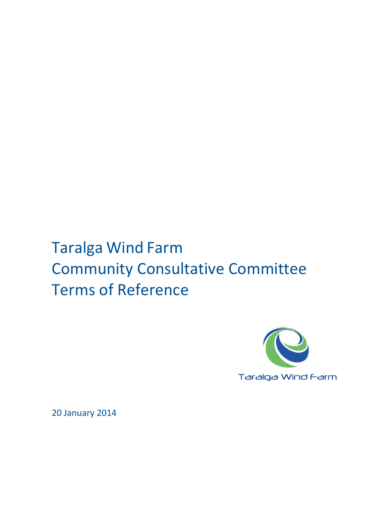# Taralga Wind Farm Community Consultative Committee Terms of Reference



20 January 2014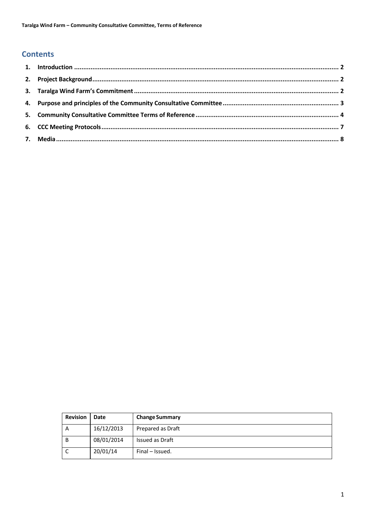# **Contents**

| <b>Revision</b> | Date       | <b>Change Summary</b> |
|-----------------|------------|-----------------------|
| A               | 16/12/2013 | Prepared as Draft     |
| B               | 08/01/2014 | Issued as Draft       |
|                 | 20/01/14   | Final - Issued.       |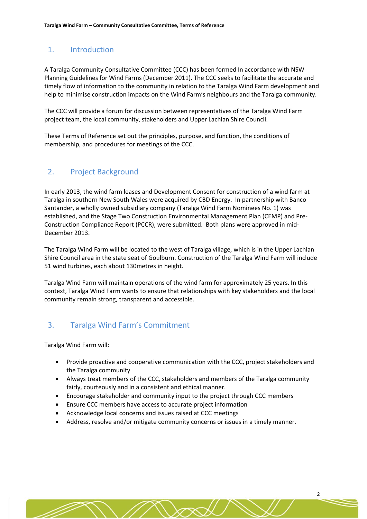## 1. Introduction

A Taralga Community Consultative Committee (CCC) has been formed In accordance with NSW Planning Guidelines for Wind Farms (December 2011). The CCC seeks to facilitate the accurate and timely flow of information to the community in relation to the Taralga Wind Farm development and help to minimise construction impacts on the Wind Farm's neighbours and the Taralga community.

The CCC will provide a forum for discussion between representatives of the Taralga Wind Farm project team, the local community, stakeholders and Upper Lachlan Shire Council.

These Terms of Reference set out the principles, purpose, and function, the conditions of membership, and procedures for meetings of the CCC.

## 2. Project Background

In early 2013, the wind farm leases and Development Consent for construction of a wind farm at Taralga in southern New South Wales were acquired by CBD Energy. In partnership with Banco Santander, a wholly owned subsidiary company (Taralga Wind Farm Nominees No. 1) was established, and the Stage Two Construction Environmental Management Plan (CEMP) and Pre‐ Construction Compliance Report (PCCR), were submitted. Both plans were approved in mid‐ December 2013.

The Taralga Wind Farm will be located to the west of Taralga village, which is in the Upper Lachlan Shire Council area in the state seat of Goulburn. Construction of the Taralga Wind Farm will include 51 wind turbines, each about 130metres in height.

Taralga Wind Farm will maintain operations of the wind farm for approximately 25 years. In this context, Taralga Wind Farm wants to ensure that relationships with key stakeholders and the local community remain strong, transparent and accessible.

## 3. Taralga Wind Farm's Commitment

Taralga Wind Farm will:

- Provide proactive and cooperative communication with the CCC, project stakeholders and the Taralga community
- Always treat members of the CCC, stakeholders and members of the Taralga community fairly, courteously and in a consistent and ethical manner.
- Encourage stakeholder and community input to the project through CCC members
- Ensure CCC members have access to accurate project information
- Acknowledge local concerns and issues raised at CCC meetings
- Address, resolve and/or mitigate community concerns or issues in a timely manner.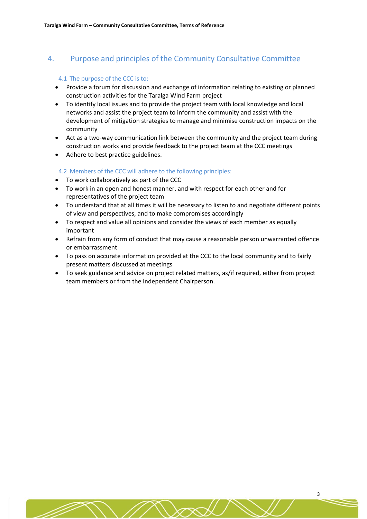## 4. Purpose and principles of the Community Consultative Committee

#### 4.1 The purpose of the CCC is to:

- Provide a forum for discussion and exchange of information relating to existing or planned construction activities for the Taralga Wind Farm project
- To identify local issues and to provide the project team with local knowledge and local networks and assist the project team to inform the community and assist with the development of mitigation strategies to manage and minimise construction impacts on the community
- Act as a two-way communication link between the community and the project team during construction works and provide feedback to the project team at the CCC meetings
- Adhere to best practice guidelines.

#### 4.2 Members of the CCC will adhere to the following principles:

- To work collaboratively as part of the CCC
- To work in an open and honest manner, and with respect for each other and for representatives of the project team
- To understand that at all times it will be necessary to listen to and negotiate different points of view and perspectives, and to make compromises accordingly
- To respect and value all opinions and consider the views of each member as equally important
- Refrain from any form of conduct that may cause a reasonable person unwarranted offence or embarrassment
- To pass on accurate information provided at the CCC to the local community and to fairly present matters discussed at meetings
- To seek guidance and advice on project related matters, as/if required, either from project team members or from the Independent Chairperson.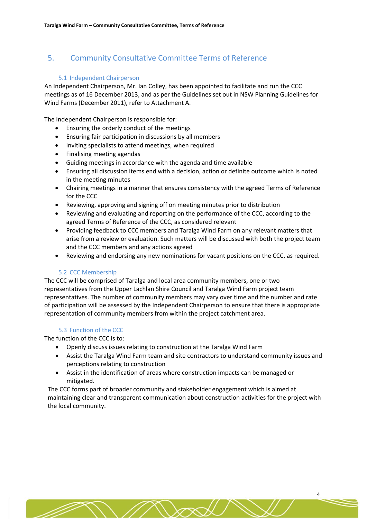# 5. Community Consultative Committee Terms of Reference

#### 5.1 Independent Chairperson

An Independent Chairperson, Mr. Ian Colley, has been appointed to facilitate and run the CCC meetings as of 16 December 2013, and as per the Guidelines set out in NSW Planning Guidelines for Wind Farms (December 2011), refer to Attachment A.

The Independent Chairperson is responsible for:

- Ensuring the orderly conduct of the meetings
- Ensuring fair participation in discussions by all members
- Inviting specialists to attend meetings, when required
- Finalising meeting agendas
- Guiding meetings in accordance with the agenda and time available
- Ensuring all discussion items end with a decision, action or definite outcome which is noted in the meeting minutes
- Chairing meetings in a manner that ensures consistency with the agreed Terms of Reference for the CCC
- Reviewing, approving and signing off on meeting minutes prior to distribution
- Reviewing and evaluating and reporting on the performance of the CCC, according to the agreed Terms of Reference of the CCC, as considered relevant
- Providing feedback to CCC members and Taralga Wind Farm on any relevant matters that arise from a review or evaluation. Such matters will be discussed with both the project team and the CCC members and any actions agreed
- Reviewing and endorsing any new nominations for vacant positions on the CCC, as required.

## 5.2 CCC Membership

The CCC will be comprised of Taralga and local area community members, one or two representatives from the Upper Lachlan Shire Council and Taralga Wind Farm project team representatives. The number of community members may vary over time and the number and rate of participation will be assessed by the Independent Chairperson to ensure that there is appropriate representation of community members from within the project catchment area.

## 5.3 Function of the CCC

The function of the CCC is to:

- Openly discuss issues relating to construction at the Taralga Wind Farm
- Assist the Taralga Wind Farm team and site contractors to understand community issues and perceptions relating to construction
- Assist in the identification of areas where construction impacts can be managed or mitigated.

The CCC forms part of broader community and stakeholder engagement which is aimed at maintaining clear and transparent communication about construction activities for the project with the local community.

4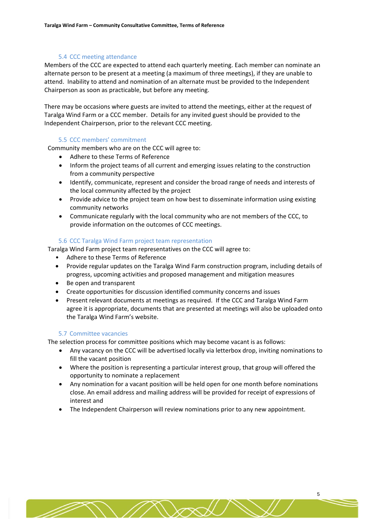#### 5.4 CCC meeting attendance

Members of the CCC are expected to attend each quarterly meeting. Each member can nominate an alternate person to be present at a meeting (a maximum of three meetings), if they are unable to attend. Inability to attend and nomination of an alternate must be provided to the Independent Chairperson as soon as practicable, but before any meeting.

There may be occasions where guests are invited to attend the meetings, either at the request of Taralga Wind Farm or a CCC member. Details for any invited guest should be provided to the Independent Chairperson, prior to the relevant CCC meeting.

#### 5.5 CCC members' commitment

Community members who are on the CCC will agree to:

- Adhere to these Terms of Reference
- Inform the project teams of all current and emerging issues relating to the construction from a community perspective
- Identify, communicate, represent and consider the broad range of needs and interests of the local community affected by the project
- Provide advice to the project team on how best to disseminate information using existing community networks
- Communicate regularly with the local community who are not members of the CCC, to provide information on the outcomes of CCC meetings.

#### 5.6 CCC Taralga Wind Farm project team representation

Taralga Wind Farm project team representatives on the CCC will agree to:

- Adhere to these Terms of Reference
- Provide regular updates on the Taralga Wind Farm construction program, including details of progress, upcoming activities and proposed management and mitigation measures
- Be open and transparent
- Create opportunities for discussion identified community concerns and issues
- Present relevant documents at meetings as required. If the CCC and Taralga Wind Farm agree it is appropriate, documents that are presented at meetings will also be uploaded onto the Taralga Wind Farm's website.

#### 5.7 Committee vacancies

The selection process for committee positions which may become vacant is as follows:

- Any vacancy on the CCC will be advertised locally via letterbox drop, inviting nominations to fill the vacant position
- Where the position is representing a particular interest group, that group will offered the opportunity to nominate a replacement
- Any nomination for a vacant position will be held open for one month before nominations close. An email address and mailing address will be provided for receipt of expressions of interest and
- The Independent Chairperson will review nominations prior to any new appointment.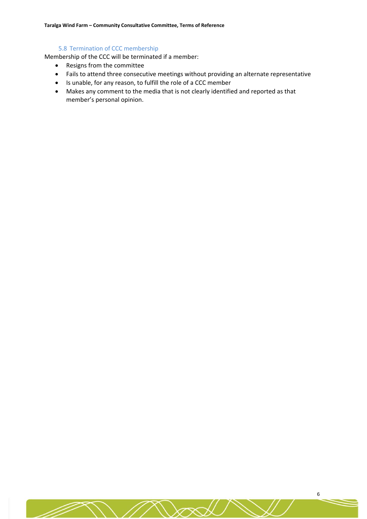#### 5.8 Termination of CCC membership

Membership of the CCC will be terminated if a member:

- Resigns from the committee
- Fails to attend three consecutive meetings without providing an alternate representative
- Is unable, for any reason, to fulfill the role of a CCC member
- Makes any comment to the media that is not clearly identified and reported as that member's personal opinion.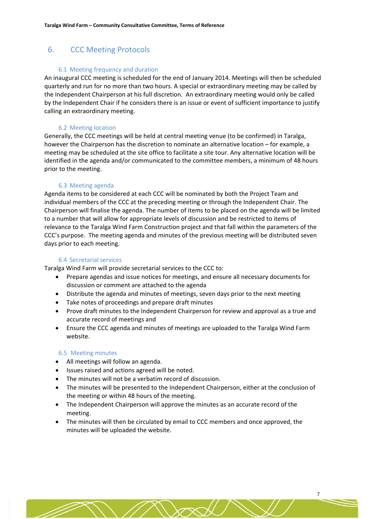## 6. CCC Meeting Protocols

#### 6.1 Meeting frequency and duration

An inaugural CCC meeting is scheduled for the end of January 2014. Meetings will then be scheduled quarterly and run for no more than two hours. A special or extraordinary meeting may be called by the Independent Chairperson at his full discretion. An extraordinary meeting would only be called by the Independent Chair if he considers there is an issue or event of sufficient importance to justify calling an extraordinary meeting.

#### 6.2 Meeting location

Generally, the CCC meetings will be held at central meeting venue (to be confirmed) in Taralga, however the Chairperson has the discretion to nominate an alternative location – for example, a meeting may be scheduled at the site office to facilitate a site tour. Any alternative location will be identified in the agenda and/or communicated to the committee members, a minimum of 48 hours prior to the meeting.

#### 6.3 Meeting agenda

Agenda items to be considered at each CCC will be nominated by both the Project Team and individual members of the CCC at the preceding meeting or through the Independent Chair. The Chairperson will finalise the agenda. The number of items to be placed on the agenda will be limited to a number that will allow for appropriate levels of discussion and be restricted to items of relevance to the Taralga Wind Farm Construction project and that fall within the parameters of the CCC's purpose. The meeting agenda and minutes of the previous meeting will be distributed seven days prior to each meeting.

#### 6.4 Secretarial services

Taralga Wind Farm will provide secretarial services to the CCC to:

- Prepare agendas and issue notices for meetings, and ensure all necessary documents for discussion or comment are attached to the agenda
- Distribute the agenda and minutes of meetings, seven days prior to the next meeting
- Take notes of proceedings and prepare draft minutes
- Prove draft minutes to the Independent Chairperson for review and approval as a true and accurate record of meetings and
- Ensure the CCC agenda and minutes of meetings are uploaded to the Taralga Wind Farm website.

#### 6.5 Meeting minutes

- All meetings will follow an agenda.
- Issues raised and actions agreed will be noted.
- The minutes will not be a verbatim record of discussion.
- The minutes will be presented to the Independent Chairperson, either at the conclusion of the meeting or within 48 hours of the meeting.
- The Independent Chairperson will approve the minutes as an accurate record of the meeting.
- The minutes will then be circulated by email to CCC members and once approved, the minutes will be uploaded the website.